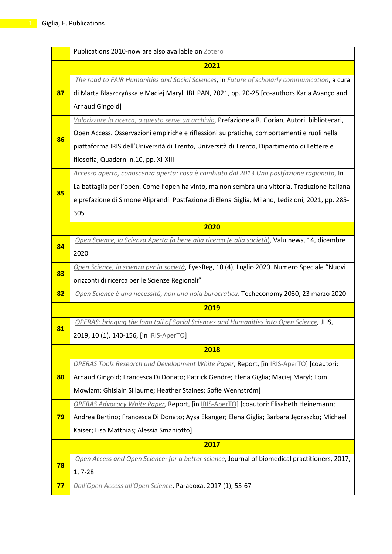|    | Publications 2010-now are also available on Zotero                                                    |
|----|-------------------------------------------------------------------------------------------------------|
|    | 2021                                                                                                  |
|    | The road to FAIR Humanities and Social Sciences, in <i>Future of scholarly communication</i> , a cura |
| 87 | di Marta Błaszczyńska e Maciej Maryl, IBL PAN, 2021, pp. 20-25 [co-authors Karla Avanço and           |
|    | Arnaud Gingold]                                                                                       |
|    | Valorizzare la ricerca, a questo serve un archivio, Prefazione a R. Gorian, Autori, bibliotecari,     |
|    | Open Access. Osservazioni empiriche e riflessioni su pratiche, comportamenti e ruoli nella            |
| 86 | piattaforma IRIS dell'Università di Trento, Università di Trento, Dipartimento di Lettere e           |
|    | filosofia, Quaderni n.10, pp. XI-XIII                                                                 |
|    | Accesso aperto, conoscenza aperta: cosa è cambiato dal 2013. Una postfazione ragionata, In            |
| 85 | La battaglia per l'open. Come l'open ha vinto, ma non sembra una vittoria. Traduzione italiana        |
|    | e prefazione di Simone Aliprandi. Postfazione di Elena Giglia, Milano, Ledizioni, 2021, pp. 285-      |
|    | 305                                                                                                   |
|    | 2020                                                                                                  |
| 84 | Open Science, la Scienza Aperta fa bene alla ricerca (e alla società), Valu.news, 14, dicembre        |
|    | 2020                                                                                                  |
| 83 | Open Science, la scienza per la società, EyesReg, 10 (4), Luglio 2020. Numero Speciale "Nuovi         |
|    | orizzonti di ricerca per le Scienze Regionali"                                                        |
| 82 | Open Science è una necessità, non una noia burocratica, Techeconomy 2030, 23 marzo 2020               |
|    | 2019                                                                                                  |
| 81 | OPERAS: bringing the long tail of Social Sciences and Humanities into Open Science, JLIS,             |
|    | 2019, 10 (1), 140-156, [in <b>IRIS-AperTO</b> ]                                                       |
|    | 2018                                                                                                  |
|    | OPERAS Tools Research and Development White Paper, Report, [in IRIS-AperTO] [coautori:                |
| 80 | Arnaud Gingold; Francesca Di Donato; Patrick Gendre; Elena Giglia; Maciej Maryl; Tom                  |
|    | Mowlam; Ghislain Sillaume; Heather Staines; Sofie Wennström]                                          |
|    | OPERAS Advocacy White Paper, Report, [in IRIS-AperTO] [coautori: Elisabeth Heinemann;                 |
| 79 | Andrea Bertino; Francesca Di Donato; Aysa Ekanger; Elena Giglia; Barbara Jędraszko; Michael           |
|    | Kaiser; Lisa Matthias; Alessia Smaniotto]                                                             |
|    | 2017                                                                                                  |
| 78 | Open Access and Open Science: for a better science, Journal of biomedical practitioners, 2017,        |
|    | $1, 7-28$                                                                                             |
| 77 | Dall'Open Access all'Open Science, Paradoxa, 2017 (1), 53-67                                          |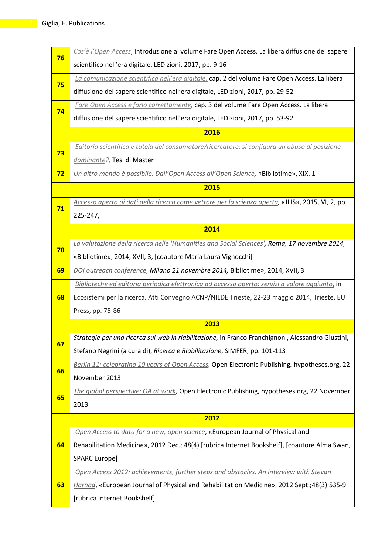| 76 | Cos'è l'Open Access, Introduzione al volume Fare Open Access. La libera diffusione del sapere     |
|----|---------------------------------------------------------------------------------------------------|
|    | scientifico nell'era digitale, LEDIzioni, 2017, pp. 9-16                                          |
| 75 | La comunicazione scientifica nell'era digitale, cap. 2 del volume Fare Open Access. La libera     |
|    | diffusione del sapere scientifico nell'era digitale, LEDIzioni, 2017, pp. 29-52                   |
| 74 | Fare Open Access e farlo correttamente, cap. 3 del volume Fare Open Access. La libera             |
|    | diffusione del sapere scientifico nell'era digitale, LEDIzioni, 2017, pp. 53-92                   |
|    | 2016                                                                                              |
| 73 | Editoria scientifica e tutela del consumatore/ricercatore: si configura un abuso di posizione     |
|    | dominante?, Tesi di Master                                                                        |
| 72 | Un altro mondo è possibile. Dall'Open Access all'Open Science, «Bibliotime», XIX, 1               |
|    | 2015                                                                                              |
| 71 | Accesso aperto ai dati della ricerca come vettore per la scienza aperta, «JLIS», 2015, VI, 2, pp. |
|    | 225-247,                                                                                          |
|    | 2014                                                                                              |
| 70 | La valutazione della ricerca nelle 'Humanities and Social Sciences', Roma, 17 novembre 2014,      |
|    | «Bibliotime», 2014, XVII, 3, [coautore Maria Laura Vignocchi]                                     |
| 69 | DOI outreach conference, Milano 21 novembre 2014, Bibliotime», 2014, XVII, 3                      |
|    | Biblioteche ed editoria periodica elettronica ad accesso aperto: servizi a valore aggiunto, in    |
| 68 | Ecosistemi per la ricerca. Atti Convegno ACNP/NILDE Trieste, 22-23 maggio 2014, Trieste, EUT      |
|    | Press, pp. 75-86                                                                                  |
|    | 2013                                                                                              |
| 67 | Strategie per una ricerca sul web in riabilitazione, in Franco Franchignoni, Alessandro Giustini, |
|    | Stefano Negrini (a cura di), Ricerca e Riabilitazione, SIMFER, pp. 101-113                        |
| 66 | Berlin 11: celebrating 10 years of Open Access, Open Electronic Publishing, hypotheses.org, 22    |
|    | November 2013                                                                                     |
| 65 | The global perspective: OA at work, Open Electronic Publishing, hypotheses.org, 22 November       |
|    | 2013                                                                                              |
|    | 2012                                                                                              |
|    | Open Access to data for a new, open science, «European Journal of Physical and                    |
| 64 | Rehabilitation Medicine», 2012 Dec.; 48(4) [rubrica Internet Bookshelf], [coautore Alma Swan,     |
|    | SPARC Europe]                                                                                     |
|    | Open Access 2012: achievements, further steps and obstacles. An interview with Stevan             |
| 63 | Harnad, «European Journal of Physical and Rehabilitation Medicine», 2012 Sept.;48(3):535-9        |
|    | [rubrica Internet Bookshelf]                                                                      |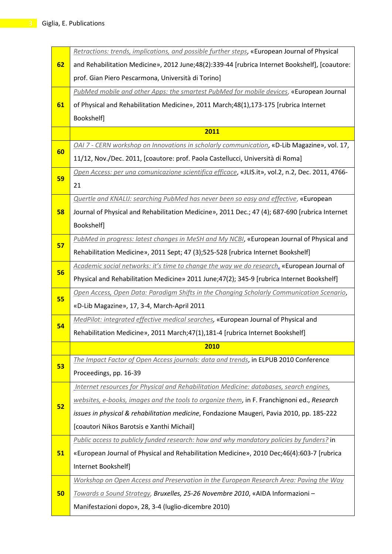|    | Retractions: trends, implications, and possible further steps, «European Journal of Physical     |
|----|--------------------------------------------------------------------------------------------------|
| 62 | and Rehabilitation Medicine», 2012 June;48(2):339-44 [rubrica Internet Bookshelf], [coautore:    |
|    | prof. Gian Piero Pescarmona, Università di Torino]                                               |
|    | PubMed mobile and other Apps: the smartest PubMed for mobile devices, «European Journal          |
| 61 | of Physical and Rehabilitation Medicine», 2011 March;48(1),173-175 [rubrica Internet             |
|    | Bookshelf]                                                                                       |
|    | 2011                                                                                             |
|    | OAI 7 - CERN workshop on Innovations in scholarly communication, «D-Lib Magazine», vol. 17,      |
| 60 | 11/12, Nov./Dec. 2011, [coautore: prof. Paola Castellucci, Università di Roma]                   |
|    | Open Access: per una comunicazione scientifica efficace, «JLIS.it», vol.2, n.2, Dec. 2011, 4766- |
| 59 | 21                                                                                               |
|    | <b>Quertle and KNALIJ: searching PubMed has never been so easy and effective, «European</b>      |
| 58 | Journal of Physical and Rehabilitation Medicine», 2011 Dec.; 47 (4); 687-690 [rubrica Internet   |
|    | Bookshelf]                                                                                       |
|    | PubMed in progress: latest changes in MeSH and My NCBI, «European Journal of Physical and        |
| 57 | Rehabilitation Medicine», 2011 Sept; 47 (3);525-528 [rubrica Internet Bookshelf]                 |
|    | Academic social networks: it's time to change the way we do research, «European Journal of       |
| 56 | Physical and Rehabilitation Medicine» 2011 June;47(2); 345-9 [rubrica Internet Bookshelf]        |
| 55 | Open Access, Open Data: Paradigm Shifts in the Changing Scholarly Communication Scenario,        |
|    | «D-Lib Magazine», 17, 3-4, March-April 2011                                                      |
| 54 | MedPilot: integrated effective medical searches, «European Journal of Physical and               |
|    | Rehabilitation Medicine», 2011 March;47(1),181-4 [rubrica Internet Bookshelf]                    |
|    | 2010                                                                                             |
| 53 | The Impact Factor of Open Access journals: data and trends, in ELPUB 2010 Conference             |
|    | Proceedings, pp. 16-39                                                                           |
|    | Internet resources for Physical and Rehabilitation Medicine: databases, search engines,          |
| 52 | websites, e-books, images and the tools to organize them, in F. Franchignoni ed., Research       |
|    | issues in physical & rehabilitation medicine, Fondazione Maugeri, Pavia 2010, pp. 185-222        |
|    | [coautori Nikos Barotsis e Xanthi Michail]                                                       |
|    | Public access to publicly funded research: how and why mandatory policies by funders? in         |
| 51 | «European Journal of Physical and Rehabilitation Medicine», 2010 Dec;46(4):603-7 [rubrica        |
|    | Internet Bookshelf]                                                                              |
|    | Workshop on Open Access and Preservation in the European Research Area: Paving the Way           |
| 50 | Towards a Sound Strategy, Bruxelles, 25-26 Novembre 2010, «AIDA Informazioni -                   |
|    | Manifestazioni dopo», 28, 3-4 (luglio-dicembre 2010)                                             |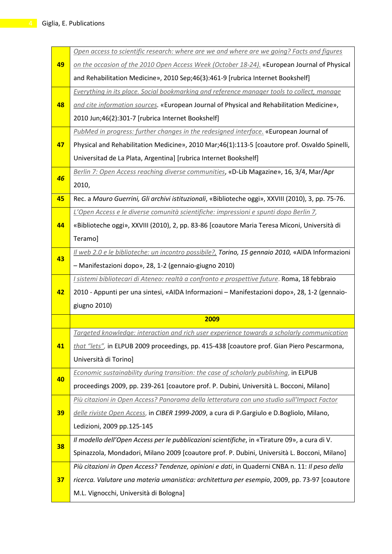|    | Open access to scientific research: where are we and where are we going? Facts and figures         |
|----|----------------------------------------------------------------------------------------------------|
| 49 | on the occasion of the 2010 Open Access Week (October 18-24). «European Journal of Physical        |
|    | and Rehabilitation Medicine», 2010 Sep;46(3):461-9 [rubrica Internet Bookshelf]                    |
|    | Everything in its place. Social bookmarking and reference manager tools to collect, manage         |
| 48 | and cite information sources. «European Journal of Physical and Rehabilitation Medicine»,          |
|    | 2010 Jun;46(2):301-7 [rubrica Internet Bookshelf]                                                  |
|    | PubMed in progress: further changes in the redesigned interface. «European Journal of              |
| 47 | Physical and Rehabilitation Medicine», 2010 Mar;46(1):113-5 [coautore prof. Osvaldo Spinelli,      |
|    | Universitad de La Plata, Argentina] [rubrica Internet Bookshelf]                                   |
|    | Berlin 7: Open Access reaching diverse communities, «D-Lib Magazine», 16, 3/4, Mar/Apr             |
| 46 | 2010,                                                                                              |
| 45 | Rec. a Mauro Guerrini, Gli archivi istituzionali, «Biblioteche oggi», XXVIII (2010), 3, pp. 75-76. |
|    | L'Open Access e le diverse comunità scientifiche: impressioni e spunti dopo Berlin 7,              |
| 44 | «Biblioteche oggi», XXVIII (2010), 2, pp. 83-86 [coautore Maria Teresa Miconi, Università di       |
|    | Teramo]                                                                                            |
| 43 | Il web 2.0 e le biblioteche: un incontro possibile?, Torino, 15 gennaio 2010, «AIDA Informazioni   |
|    | - Manifestazioni dopo», 28, 1-2 (gennaio-giugno 2010)                                              |
|    |                                                                                                    |
|    | I sistemi bibliotecari di Ateneo: realtà a confronto e prospettive future. Roma, 18 febbraio       |
| 42 | 2010 - Appunti per una sintesi, «AIDA Informazioni - Manifestazioni dopo», 28, 1-2 (gennaio-       |
|    | giugno 2010)                                                                                       |
|    | 2009                                                                                               |
|    | Targeted knowledge: interaction and rich user experience towards a scholarly communication         |
| 41 | that "lets", in ELPUB 2009 proceedings, pp. 415-438 [coautore prof. Gian Piero Pescarmona,         |
|    | Università di Torino]                                                                              |
|    | Economic sustainability during transition: the case of scholarly publishing, in ELPUB              |
| 40 | proceedings 2009, pp. 239-261 [coautore prof. P. Dubini, Università L. Bocconi, Milano]            |
|    | Più citazioni in Open Access? Panorama della letteratura con uno studio sull'Impact Factor         |
| 39 | delle riviste Open Access, in CIBER 1999-2009, a cura di P.Gargiulo e D.Bogliolo, Milano,          |
|    | Ledizioni, 2009 pp.125-145                                                                         |
|    | Il modello dell'Open Access per le pubblicazioni scientifiche, in «Tirature 09», a cura di V.      |
| 38 | Spinazzola, Mondadori, Milano 2009 [coautore prof. P. Dubini, Università L. Bocconi, Milano]       |
|    | Più citazioni in Open Access? Tendenze, opinioni e dati, in Quaderni CNBA n. 11: Il peso della     |
| 37 | ricerca. Valutare una materia umanistica: architettura per esempio, 2009, pp. 73-97 [coautore      |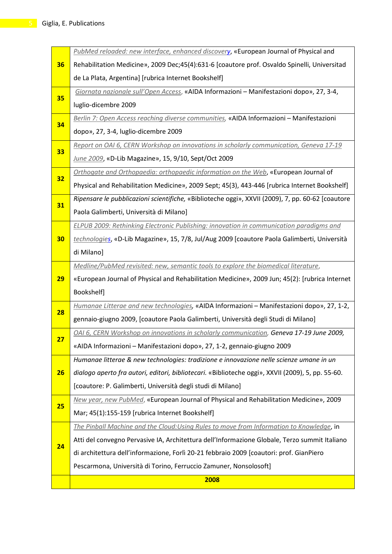|           | PubMed reloaded: new interface, enhanced discovery, «European Journal of Physical and             |
|-----------|---------------------------------------------------------------------------------------------------|
| 36        | Rehabilitation Medicine», 2009 Dec;45(4):631-6 [coautore prof. Osvaldo Spinelli, Universitad      |
|           | de La Plata, Argentina] [rubrica Internet Bookshelf]                                              |
|           | Giornata nazionale sull'Open Access, «AIDA Informazioni - Manifestazioni dopo», 27, 3-4,          |
| 35        | luglio-dicembre 2009                                                                              |
|           | Berlin 7: Open Access reaching diverse communities, «AIDA Informazioni - Manifestazioni           |
| 34        | dopo», 27, 3-4, luglio-dicembre 2009                                                              |
|           | Report on OAI 6, CERN Workshop on innovations in scholarly communication, Geneva 17-19            |
| 33        | June 2009, «D-Lib Magazine», 15, 9/10, Sept/Oct 2009                                              |
|           | Orthogate and Orthopaedia: orthopaedic information on the Web, «European Journal of               |
| 32        | Physical and Rehabilitation Medicine», 2009 Sept; 45(3), 443-446 [rubrica Internet Bookshelf]     |
|           | Ripensare le pubblicazioni scientifiche, «Biblioteche oggi», XXVII (2009), 7, pp. 60-62 [coautore |
| 31        | Paola Galimberti, Università di Milano]                                                           |
|           | ELPUB 2009: Rethinking Electronic Publishing: innovation in communication paradigms and           |
| 30        | technologies, «D-Lib Magazine», 15, 7/8, Jul/Aug 2009 [coautore Paola Galimberti, Università      |
|           | di Milano]                                                                                        |
|           | Medline/PubMed revisited: new, semantic tools to explore the biomedical literature,               |
| <b>29</b> | «European Journal of Physical and Rehabilitation Medicine», 2009 Jun; 45(2): [rubrica Internet    |
|           | Bookshelf]                                                                                        |
| 28        | Humanae Litterae and new technologies, «AIDA Informazioni - Manifestazioni dopo», 27, 1-2,        |
|           | gennaio-giugno 2009, [coautore Paola Galimberti, Università degli Studi di Milano]                |
| 27        | OAI 6, CERN Workshop on innovations in scholarly communication, Geneva 17-19 June 2009,           |
|           | «AIDA Informazioni - Manifestazioni dopo», 27, 1-2, gennaio-giugno 2009                           |
|           | Humanae litterae & new technologies: tradizione e innovazione nelle scienze umane in un           |
| <b>26</b> | dialogo aperto fra autori, editori, bibliotecari. «Biblioteche oggi», XXVII (2009), 5, pp. 55-60. |
|           | [coautore: P. Galimberti, Università degli studi di Milano]                                       |
| 25        | New year, new PubMed, «European Journal of Physical and Rehabilitation Medicine», 2009            |
|           | Mar; 45(1):155-159 [rubrica Internet Bookshelf]                                                   |
|           | The Pinball Machine and the Cloud: Using Rules to move from Information to Knowledge, in          |
| 24        | Atti del convegno Pervasive IA, Architettura dell'Informazione Globale, Terzo summit Italiano     |
|           | di architettura dell'informazione, Forlì 20-21 febbraio 2009 [coautori: prof. GianPiero           |
|           | Pescarmona, Università di Torino, Ferruccio Zamuner, Nonsolosoft]                                 |
|           | 2008                                                                                              |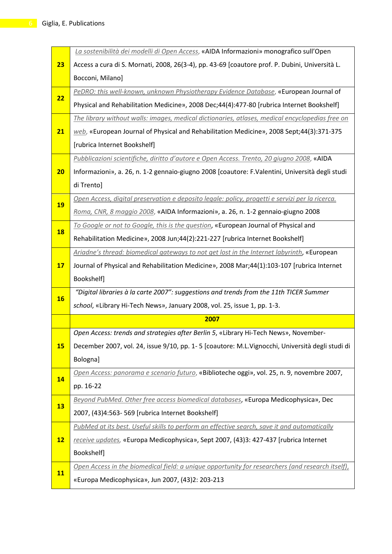|           | La sostenibilità dei modelli di Open Access, «AIDA Informazioni» monografico sull'Open           |
|-----------|--------------------------------------------------------------------------------------------------|
| 23        | Access a cura di S. Mornati, 2008, 26(3-4), pp. 43-69 [coautore prof. P. Dubini, Università L.   |
|           | Bocconi, Milano]                                                                                 |
| 22        | PeDRO: this well-known, unknown Physiotherapy Evidence Database, «European Journal of            |
|           | Physical and Rehabilitation Medicine», 2008 Dec;44(4):477-80 [rubrica Internet Bookshelf]        |
|           | The library without walls: images, medical dictionaries, atlases, medical encyclopedias free on  |
| 21        | web, «European Journal of Physical and Rehabilitation Medicine», 2008 Sept;44(3):371-375         |
|           | [rubrica Internet Bookshelf]                                                                     |
|           | Pubblicazioni scientifiche, diritto d'autore e Open Access. Trento, 20 giugno 2008, «AIDA        |
| 20        | Informazioni», a. 26, n. 1-2 gennaio-giugno 2008 [coautore: F.Valentini, Università degli studi  |
|           | di Trento]                                                                                       |
| <b>19</b> | Open Access, digital preservation e deposito legale: policy, progetti e servizi per la ricerca.  |
|           | Roma, CNR, 8 maggio 2008, «AIDA Informazioni», a. 26, n. 1-2 gennaio-giugno 2008                 |
|           | To Google or not to Google, this is the question, «European Journal of Physical and              |
| <b>18</b> | Rehabilitation Medicine», 2008 Jun;44(2):221-227 [rubrica Internet Bookshelf]                    |
|           | Ariadne's thread: biomedical gateways to not get lost in the Internet labyrinth, «European       |
| 17        | Journal of Physical and Rehabilitation Medicine», 2008 Mar;44(1):103-107 [rubrica Internet       |
|           | Bookshelf]                                                                                       |
| <b>16</b> | "Digital libraries à la carte 2007": suggestions and trends from the 11th TICER Summer           |
|           | school, «Library Hi-Tech News», January 2008, vol. 25, issue 1, pp. 1-3.                         |
|           | 2007                                                                                             |
|           | Open Access: trends and strategies after Berlin 5, «Library Hi-Tech News», November-             |
| 15        | December 2007, vol. 24, issue 9/10, pp. 1-5 [coautore: M.L.Vignocchi, Università degli studi di  |
|           | Bologna]                                                                                         |
| 14        | Open Access: panorama e scenario futuro, «Biblioteche oggi», vol. 25, n. 9, novembre 2007,       |
|           | pp. 16-22                                                                                        |
| <b>13</b> | Beyond PubMed. Other free access biomedical databases, «Europa Medicophysica», Dec               |
|           | 2007, (43)4:563-569 [rubrica Internet Bookshelf]                                                 |
|           | PubMed at its best. Useful skills to perform an effective search, save it and automatically      |
| 12        | receive updates, «Europa Medicophysica», Sept 2007, (43)3: 427-437 [rubrica Internet             |
|           | Bookshelf]                                                                                       |
| 11        | Open Access in the biomedical field: a unique opportunity for researchers (and research itself), |
|           | «Europa Medicophysica», Jun 2007, (43)2: 203-213                                                 |